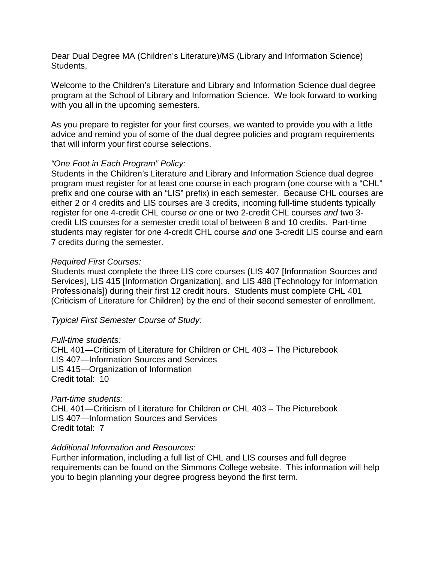Dear Dual Degree MA (Children's Literature)/MS (Library and Information Science) Students,

Welcome to the Children's Literature and Library and Information Science dual degree program at the School of Library and Information Science. We look forward to working with you all in the upcoming semesters.

As you prepare to register for your first courses, we wanted to provide you with a little advice and remind you of some of the dual degree policies and program requirements that will inform your first course selections.

# *"One Foot in Each Program" Policy:*

Students in the Children's Literature and Library and Information Science dual degree program must register for at least one course in each program (one course with a "CHL" prefix and one course with an "LIS" prefix) in each semester. Because CHL courses are either 2 or 4 credits and LIS courses are 3 credits, incoming full-time students typically register for one 4-credit CHL course *or* one or two 2-credit CHL courses *and* two 3 credit LIS courses for a semester credit total of between 8 and 10 credits. Part-time students may register for one 4-credit CHL course *and* one 3-credit LIS course and earn 7 credits during the semester.

# *Required First Courses:*

Students must complete the three LIS core courses (LIS 407 [Information Sources and Services], LIS 415 [Information Organization], and LIS 488 [Technology for Information Professionals]) during their first 12 credit hours. Students must complete CHL 401 (Criticism of Literature for Children) by the end of their second semester of enrollment.

*Typical First Semester Course of Study:*

## *Full-time students:*

CHL 401—Criticism of Literature for Children *or* CHL 403 – The Picturebook LIS 407—Information Sources and Services LIS 415—Organization of Information Credit total: 10

## *Part-time students:*

CHL 401—Criticism of Literature for Children *or* CHL 403 – The Picturebook LIS 407—Information Sources and Services Credit total: 7

## *Additional Information and Resources:*

Further information, including a full list of CHL and LIS courses and full degree requirements can be found on the Simmons College website. This information will help you to begin planning your degree progress beyond the first term.